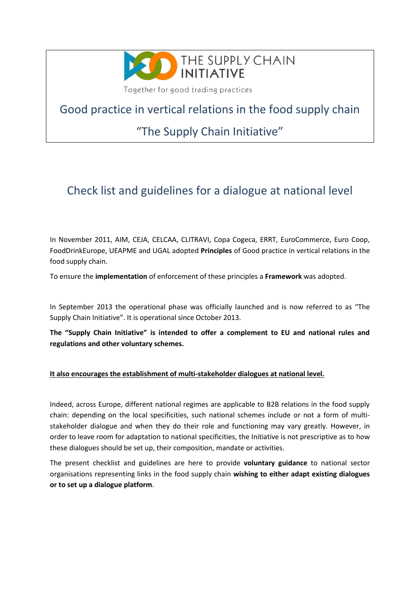

Together for good trading practices

Good practice in vertical relations in the food supply chain

## "The Supply Chain Initiative"

## Check list and guidelines for a dialogue at national level

In November 2011, AIM, CEJA, CELCAA, CLITRAVI, Copa Cogeca, ERRT, EuroCommerce, Euro Coop, FoodDrinkEurope, UEAPME and UGAL adopted **Principles** of Good practice in vertical relations in the food supply chain.

To ensure the **implementation** of enforcement of these principles a **Framework** was adopted.

In September 2013 the operational phase was officially launched and is now referred to as "The Supply Chain Initiative". It is operational since October 2013.

**The "Supply Chain Initiative" is intended to offer a complement to EU and national rules and regulations and other voluntary schemes.**

#### **It also encourages the establishment of multi-stakeholder dialogues at national level.**

Indeed, across Europe, different national regimes are applicable to B2B relations in the food supply chain: depending on the local specificities, such national schemes include or not a form of multistakeholder dialogue and when they do their role and functioning may vary greatly. However, in order to leave room for adaptation to national specificities, the Initiative is not prescriptive as to how these dialogues should be set up, their composition, mandate or activities.

The present checklist and guidelines are here to provide **voluntary guidance** to national sector organisations representing links in the food supply chain **wishing to either adapt existing dialogues or to set up a dialogue platform**.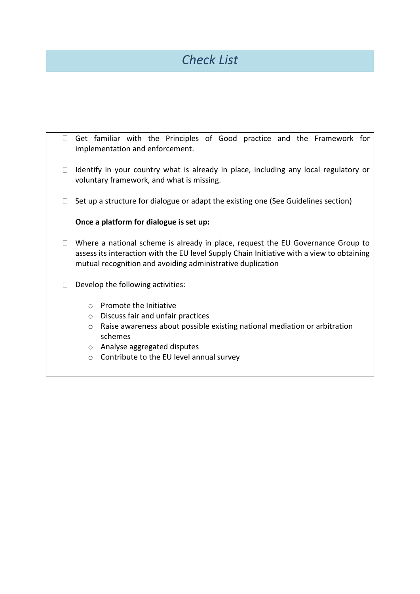# *Check List*

|                                   |                                                                                                                                                                                                                                            | Get familiar with the Principles of Good practice and the Framework for<br>implementation and enforcement. |
|-----------------------------------|--------------------------------------------------------------------------------------------------------------------------------------------------------------------------------------------------------------------------------------------|------------------------------------------------------------------------------------------------------------|
|                                   | Identify in your country what is already in place, including any local regulatory or<br>voluntary framework, and what is missing.                                                                                                          |                                                                                                            |
|                                   | Set up a structure for dialogue or adapt the existing one (See Guidelines section)                                                                                                                                                         |                                                                                                            |
|                                   | Once a platform for dialogue is set up:                                                                                                                                                                                                    |                                                                                                            |
|                                   | Where a national scheme is already in place, request the EU Governance Group to<br>assess its interaction with the EU level Supply Chain Initiative with a view to obtaining<br>mutual recognition and avoiding administrative duplication |                                                                                                            |
| Develop the following activities: |                                                                                                                                                                                                                                            |                                                                                                            |
|                                   | $\bigcirc$                                                                                                                                                                                                                                 | Promote the Initiative                                                                                     |
|                                   | $\circ$                                                                                                                                                                                                                                    | Discuss fair and unfair practices                                                                          |
|                                   | $\circ$                                                                                                                                                                                                                                    | Raise awareness about possible existing national mediation or arbitration<br>schemes                       |
|                                   | $\circ$                                                                                                                                                                                                                                    | Analyse aggregated disputes                                                                                |
|                                   | $\circ$                                                                                                                                                                                                                                    | Contribute to the EU level annual survey                                                                   |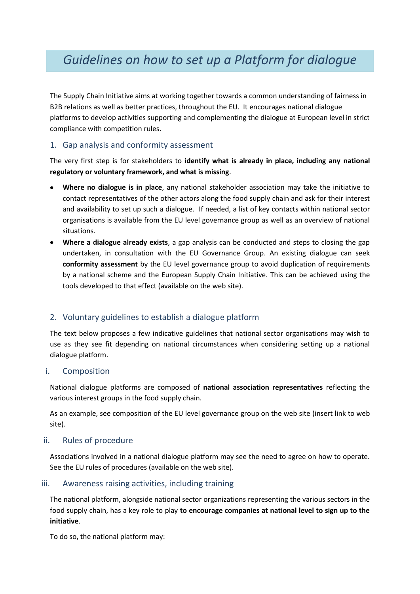## *Guidelines on how to set up a Platform for dialogue*

The Supply Chain Initiative aims at working together towards a common understanding of fairness in B2B relations as well as better practices, throughout the EU. It encourages national dialogue platforms to develop activities supporting and complementing the dialogue at European level in strict compliance with competition rules.

#### 1. Gap analysis and conformity assessment

The very first step is for stakeholders to **identify what is already in place, including any national regulatory or voluntary framework, and what is missing**.

- **Where no dialogue is in place**, any national stakeholder association may take the initiative to contact representatives of the other actors along the food supply chain and ask for their interest and availability to set up such a dialogue. If needed, a list of key contacts within national sector organisations is available from the EU level governance group as well as an overview of national situations.
- **Where a dialogue already exists**, a gap analysis can be conducted and steps to closing the gap  $\bullet$ undertaken, in consultation with the EU Governance Group. An existing dialogue can seek **conformity assessment** by the EU level governance group to avoid duplication of requirements by a national scheme and the European Supply Chain Initiative. This can be achieved using the tools developed to that effect (available on the web site).

### 2. Voluntary guidelines to establish a dialogue platform

The text below proposes a few indicative guidelines that national sector organisations may wish to use as they see fit depending on national circumstances when considering setting up a national dialogue platform.

#### i. Composition

National dialogue platforms are composed of **national association representatives** reflecting the various interest groups in the food supply chain.

As an example, see composition of the EU level governance group on the web site (insert link to web site).

#### ii. Rules of procedure

Associations involved in a national dialogue platform may see the need to agree on how to operate. See the EU rules of procedures (available on the web site).

#### iii. Awareness raising activities, including training

The national platform, alongside national sector organizations representing the various sectors in the food supply chain, has a key role to play **to encourage companies at national level to sign up to the initiative**.

To do so, the national platform may: